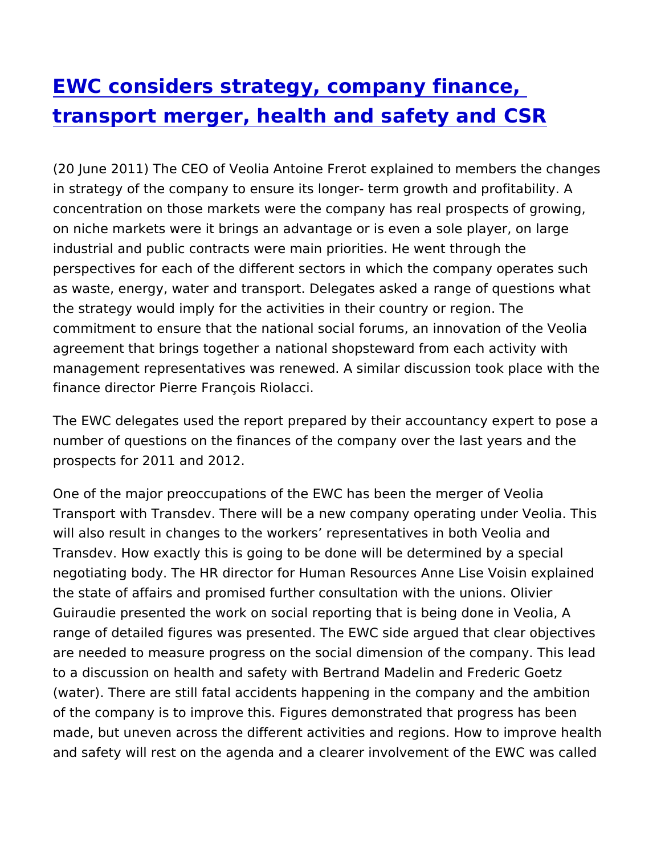## [EWC considers strategy, company](https://www.epsu.org/article/ewc-considers-strategy-company-finance-transport-merger-health-and-safety-and-csr) finance, [transport merger, health and safety](https://www.epsu.org/article/ewc-considers-strategy-company-finance-transport-merger-health-and-safety-and-csr) and CSI

(20 June 2011) The CEO of Veolia Antoine Frerot explained to me in strategy of the company to ensure its longer- term growth and concentration on those markets were the company has real prospe on niche markets were it brings an advantage or is even a sole pl industrial and public contracts were main priorities. He went thro perspectives for each of the different sectors in which the compa as waste, energy, water and transport. Delegates asked a range c the strategy would imply for the activities in their country or regi commitment to ensure that the national social forums, an innovati agreement that brings together a national shopsteward from each management representatives was renewed. A similar discussion to finance director Pierre François Riolacci.

The EWC delegates used the report prepared by their accountancy number of questions on the finances of the company over the last prospects for 2011 and 2012.

One of the major preoccupations of the EWC has been the merger Transport with Transdev. There will be a new company operating will also result in changes to the workers representatives in both Transdev. How exactly this is going to be done will be determined negotiating body. The HR director for Human Resources Anne Lise the state of affairs and promised further consultation with the un Guiraudie presented the work on social reporting that is being do range of detailed figures was presented. The EWC side argued the are needed to measure progress on the social dimension of the co to a discussion on health and safety with Bertrand Madelin and Fr (water). There are still fatal accidents happening in the company of the company is to improve this. Figures demonstrated that prog made, but uneven across the different activities and regions. How and safety will rest on the agenda and a clearer involvement of th